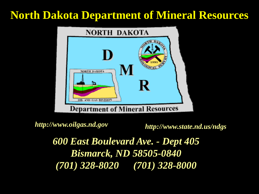### **North Dakota Department of Mineral Resources**



http://www.oilgas.nd.gov http://www.state.nd.us/ndgs

*600 East Boulevard Ave. - Dept 405 Bismarck, ND 58505-0840 (701) 328-8020 (701) 328-8000*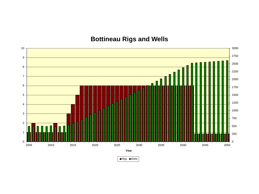#### **Bottineau Rigs and Wells**



Rigs **Wells**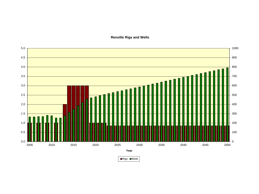5.0 1000 4.5 900 800 4.0 3.5  $+700$ 3.0  $+ 600$ 2.5  $+500$ 2.0  $+400$ 1.5 300  $+ 200$ 1.0 Π Τ Г 0.5 100 0.0 0 2005 2010 2015 2020 2025 2030 2035 2040 2045 2050 **Year**

**Renville Rigs and Wells**

Rigs **Wells**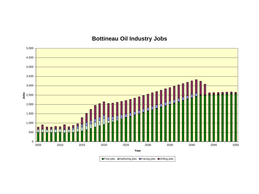#### **Bottineau Oil Industry Jobs**



■Prod jobs **□ Gathering jobs ■Fracing jobs ■Drilling jobs**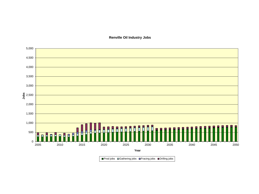**Renville Oil Industry Jobs**

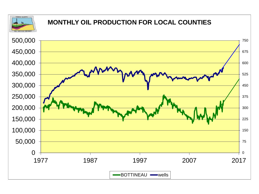

#### **MONTHLY OIL PRODUCTION FOR LOCAL COUNTIES**

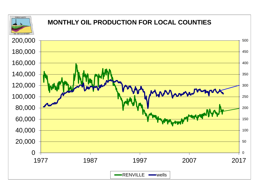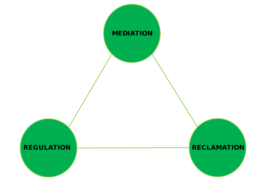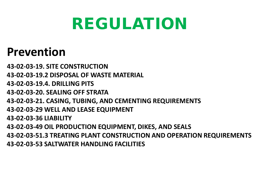# REGULATION

## **Prevention**

**43-02-03-19. SITE CONSTRUCTION 43-02-03-19.2 DISPOSAL OF WASTE MATERIAL 43-02-03-19.4. DRILLING PITS 43-02-03-20. SEALING OFF STRATA 43-02-03-21. CASING, TUBING, AND CEMENTING REQUIREMENTS 43-02-03-29 WELL AND LEASE EQUIPMENT 43-02-03-36 LIABILITY 43-02-03-49 OIL PRODUCTION EQUIPMENT, DIKES, AND SEALS 43-02-03-51.3 TREATING PLANT CONSTRUCTION AND OPERATION REQUIREMENTS 43-02-03-53 SALTWATER HANDLING FACILITIES**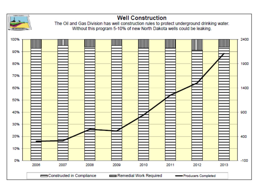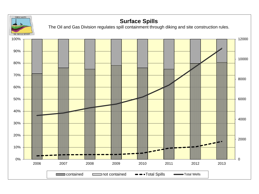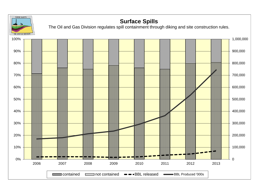![](_page_11_Figure_0.jpeg)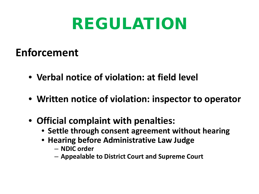# REGULATION

### **Enforcement**

- **Verbal notice of violation: at field level**
- **Written notice of violation: inspector to operator**
- **Official complaint with penalties:**
	- **Settle through consent agreement without hearing**
	- **Hearing before Administrative Law Judge**
		- **NDIC order**
		- **Appealable to District Court and Supreme Court**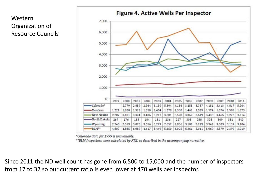![](_page_13_Figure_1.jpeg)

\*Colorado data for 1999 is unavailable.

\*\*BLM Inspectors were calculated by FTE, as described in the accompanying narrative.

Since 2011 the ND well count has gone from 6,500 to 15,000 and the number of inspectors from 17 to 32 so our current ratio is even lower at 470 wells per inspector.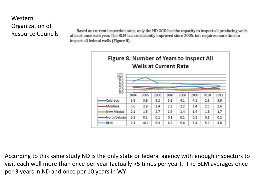Based on current inspection rates, only the ND OGD has the capacity to inspect all producing wells at least once each year. The BLM has consistently improved since 2005, but requires more time to inspect all federal wells (Figure 8).

![](_page_14_Figure_2.jpeg)

According to this same study ND is the only state or federal agency with enough inspectors to visit each well more than once per year (actually >5 times per year). The BLM averages once per 3 years in ND and once per 10 years in WY.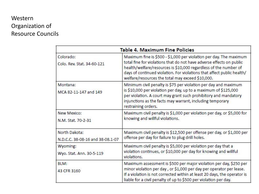| <b>Table 4. Maximum Fine Policies</b>             |                                                                                                                                                                                                                                                                                                                                              |  |  |  |  |  |
|---------------------------------------------------|----------------------------------------------------------------------------------------------------------------------------------------------------------------------------------------------------------------------------------------------------------------------------------------------------------------------------------------------|--|--|--|--|--|
| Colorado:<br>Colo, Rev. Stat. 34-60-121           | Maximum fine is \$500 - \$1,000 per violation per day. The maximum<br>total fine for violations that do not have adverse effects on public<br>health/welfare/resources is \$10,000 regardless of the number of<br>days of continued violation. For violations that affect public health/<br>welfare/resources the total may exceed \$10,000. |  |  |  |  |  |
| Montana:<br>MCA 82-11-147 and 149                 | Minimum civil penalty is \$75 per violation per day and maximum<br>is \$10,000 per violation per day, up to a maximum of \$125,000<br>per violation. A court may grant such prohibitory and mandatory<br>injunctions as the facts may warrant, including temporary<br>restraining orders.                                                    |  |  |  |  |  |
| New Mexico:<br>N.M. Stat. 70-2-31                 | Maximum civil penalty is \$1,000 per violation per day, or \$5,000 for<br>knowing and willful violations.                                                                                                                                                                                                                                    |  |  |  |  |  |
| North Dakota:<br>N.D.C.C. 38-08-16 and 38-08.1-07 | Maximum civil penalty is \$12,500 per offense per day, or \$1,000 per<br>offense per day for failure to plug drill holes.                                                                                                                                                                                                                    |  |  |  |  |  |
| Wyoming:<br>Wyo. Stat. Ann. 30-5-119              | Maximum civil penalty is \$5,000 per violation per day that a<br>violation continues, or \$10,000 per day for knowing and willful<br>violations.                                                                                                                                                                                             |  |  |  |  |  |
| BLM:<br>43 CFR 3160                               | Maximum assessment is \$500 per major violation per day, \$250 per<br>minor violation per day, or \$1,000 per day per operator per lease.<br>If a violation is not corrected within at least 20 days, the operator is<br>liable for a civil penalty of up to \$500 per violation per day.                                                    |  |  |  |  |  |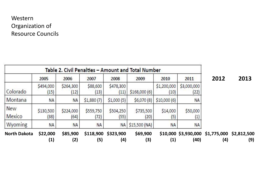| Table 2. Civil Penalties - Amount and Total Number |                               |                   |                   |                   |                   |                     |                                |                                                     |      |
|----------------------------------------------------|-------------------------------|-------------------|-------------------|-------------------|-------------------|---------------------|--------------------------------|-----------------------------------------------------|------|
|                                                    | 2005                          | 2006              | 2007              | 2008              | 2009              | 2010                | 2011                           | 2012                                                | 2013 |
| Colorado                                           | \$494,000<br>(15)             | \$264,300<br>(12) | \$88,600<br>(13)  | \$478,300<br>(11) | \$168,000(6)      | \$1,200,000<br>(10) | \$3,000,000<br>(22)            |                                                     |      |
| Montana                                            | NA                            | <b>NA</b>         | \$1,880(7)        | \$1,000(5)        | \$6,070(8)        | \$10,000(6)         | ΝA                             |                                                     |      |
| New<br>Mexico                                      | \$130,500<br>(38)             | \$224,000<br>(64) | \$559,750<br>(72) | \$504,250<br>(55) | \$735,500<br>(20) | \$14,000<br>(5)     | \$50,000<br>$\left( 1 \right)$ |                                                     |      |
| Wyoming                                            | ΝA                            | <b>NA</b>         | <b>NA</b>         | NA                | \$15,500(NA)      | <b>NA</b>           | ΝA                             |                                                     |      |
| <b>North Dakota</b>                                | \$22,000<br>$\left( 1\right)$ | \$85,900<br>(2)   | \$118,900<br>(5)  | \$323,900<br>(4)  | \$69,900<br>(3)   | (1)                 | (40)                           | \$10,000 \$3,930,000 \$1,775,000 \$2,812,500<br>(4) | (9)  |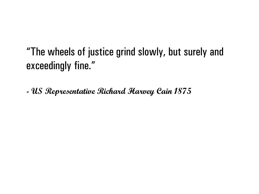"The wheels of justice grind slowly, but surely and exceedingly fine."

**- US Representative Richard Harvey Cain 1875**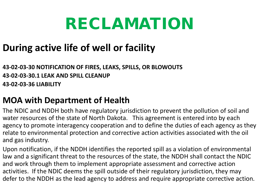# RECLAMATION

### **During active life of well or facility**

#### **43-02-03-30 NOTIFICATION OF FIRES, LEAKS, SPILLS, OR BLOWOUTS 43-02-03-30.1 LEAK AND SPILL CLEANUP 43-02-03-36 LIABILITY**

### **MOA with Department of Health**

The NDIC and NDDH both have regulatory jurisdiction to prevent the pollution of soil and water resources of the state of North Dakota. This agreement is entered into by each agency to promote interagency cooperation and to define the duties of each agency as they relate to environmental protection and corrective action activities associated with the oil and gas industry.

Upon notification, if the NDDH identifies the reported spill as a violation of environmental law and a significant threat to the resources of the state, the NDDH shall contact the NDIC and work through them to implement appropriate assessment and corrective action activities. If the NDIC deems the spill outside of their regulatory jurisdiction, they may defer to the NDDH as the lead agency to address and require appropriate corrective action.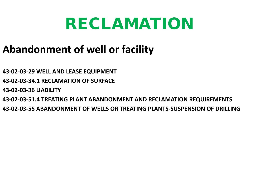## RECLAMATION

## **Abandonment of well or facility**

- **43-02-03-29 WELL AND LEASE EQUIPMENT**
- **43-02-03-34.1 RECLAMATION OF SURFACE**
- **43-02-03-36 LIABILITY**
- **43-02-03-51.4 TREATING PLANT ABANDONMENT AND RECLAMATION REQUIREMENTS**
- **43-02-03-55 ABANDONMENT OF WELLS OR TREATING PLANTS-SUSPENSION OF DRILLING**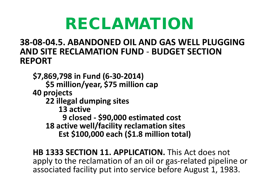# RECLAMATION

### **38-08-04.5. ABANDONED OIL AND GAS WELL PLUGGING AND SITE RECLAMATION FUND** - **BUDGET SECTION REPORT**

**\$7,869,798 in Fund (6-30-2014) \$5 million/year, \$75 million cap 40 projects 22 illegal dumping sites 13 active 9 closed - \$90,000 estimated cost 18 active well/facility reclamation sites Est \$100,000 each (\$1.8 million total)**

**HB 1333 SECTION 11. APPLICATION.** This Act does not apply to the reclamation of an oil or gas-related pipeline or associated facility put into service before August 1, 1983.